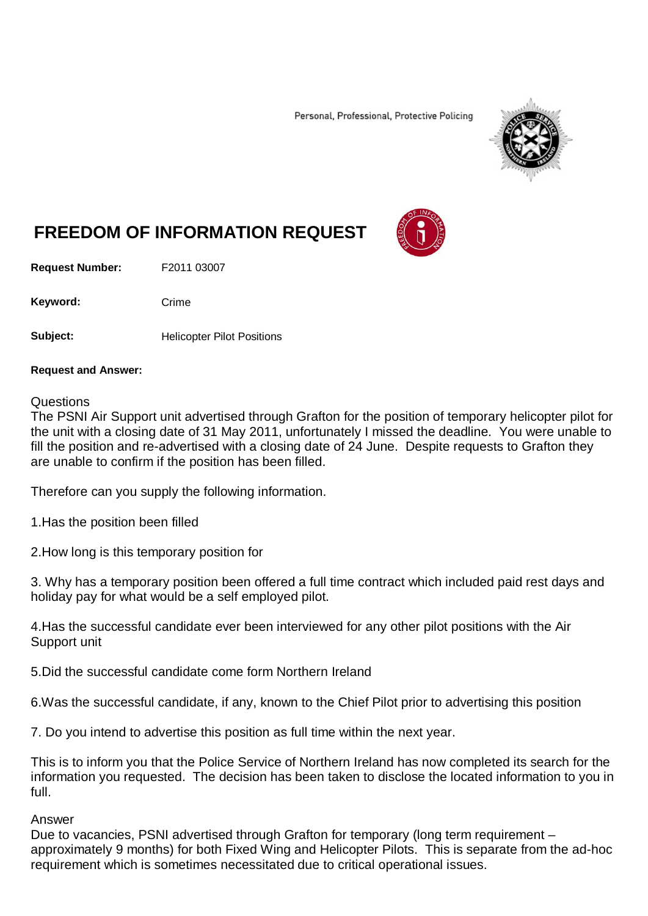Personal, Professional, Protective Policing



## **FREEDOM OF INFORMATION REQUEST**

**Request Number:** F2011 03007

Keyword: Crime

**Subject:** Helicopter Pilot Positions

## **Request and Answer:**

## Questions

The PSNI Air Support unit advertised through Grafton for the position of temporary helicopter pilot for the unit with a closing date of 31 May 2011, unfortunately I missed the deadline. You were unable to fill the position and re-advertised with a closing date of 24 June. Despite requests to Grafton they are unable to confirm if the position has been filled.

Therefore can you supply the following information.

1.Has the position been filled

2.How long is this temporary position for

3. Why has a temporary position been offered a full time contract which included paid rest days and holiday pay for what would be a self employed pilot.

4.Has the successful candidate ever been interviewed for any other pilot positions with the Air Support unit

5.Did the successful candidate come form Northern Ireland

6.Was the successful candidate, if any, known to the Chief Pilot prior to advertising this position

7. Do you intend to advertise this position as full time within the next year.

This is to inform you that the Police Service of Northern Ireland has now completed its search for the information you requested. The decision has been taken to disclose the located information to you in full.

## Answer

Due to vacancies, PSNI advertised through Grafton for temporary (long term requirement – approximately 9 months) for both Fixed Wing and Helicopter Pilots. This is separate from the ad-hoc requirement which is sometimes necessitated due to critical operational issues.